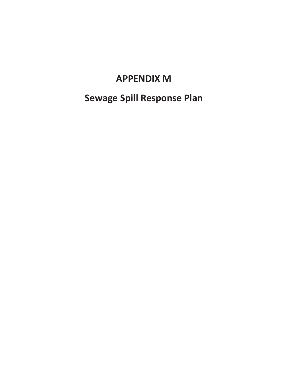## **APPENDIX M**

# **Sewage Spill Response Plan**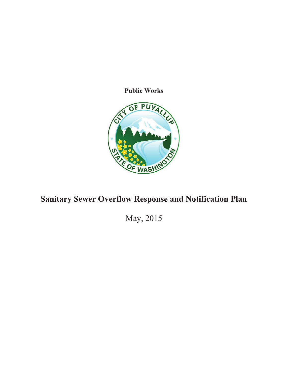**Public Works** 



## **Sanitary Sewer Overflow Response and Notification Plan**

May, 2015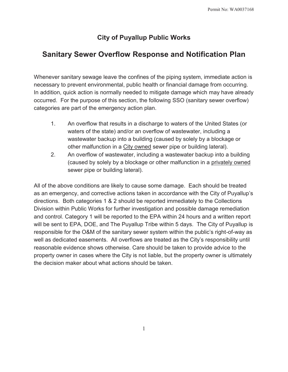### **City of Puyallup Public Works**

### **Sanitary Sewer Overflow Response and Notification Plan**

Whenever sanitary sewage leave the confines of the piping system, immediate action is necessary to prevent environmental, public health or financial damage from occurring. In addition, quick action is normally needed to mitigate damage which may have already occurred. For the purpose of this section, the following SSO (sanitary sewer overflow) categories are part of the emergency action plan.

- 1. An overflow that results in a discharge to waters of the United States (or waters of the state) and/or an overflow of wastewater, including a wastewater backup into a building (caused by solely by a blockage or other malfunction in a City owned sewer pipe or building lateral).
- 2. An overflow of wastewater, including a wastewater backup into a building (caused by solely by a blockage or other malfunction in a privately owned sewer pipe or building lateral).

All of the above conditions are likely to cause some damage. Each should be treated as an emergency, and corrective actions taken in accordance with the City of Puyallup's directions. Both categories 1 & 2 should be reported immediately to the Collections Division within Public Works for further investigation and possible damage remediation and control. Category 1 will be reported to the EPA within 24 hours and a written report will be sent to EPA, DOE, and The Puyallup Tribe within 5 days. The City of Puyallup is responsible for the O&M of the sanitary sewer system within the public's right-of-way as well as dedicated easements. All overflows are treated as the City's responsibility until reasonable evidence shows otherwise. Care should be taken to provide advice to the property owner in cases where the City is not liable, but the property owner is ultimately the decision maker about what actions should be taken.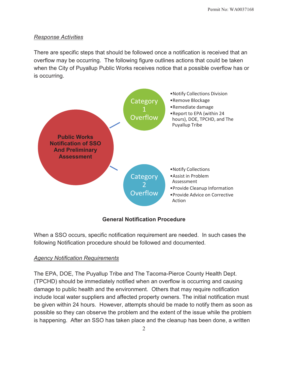#### *Response Activities*

There are specific steps that should be followed once a notification is received that an overflow may be occurring. The following figure outlines actions that could be taken when the City of Puyallup Public Works receives notice that a possible overflow has or is occurring.



#### **General Notification Procedure**

When a SSO occurs, specific notification requirement are needed. In such cases the following Notification procedure should be followed and documented.

#### *Agency Notification Requirements*

The EPA, DOE, The Puyallup Tribe and The Tacoma-Pierce County Health Dept. (TPCHD) should be immediately notified when an overflow is occurring and causing damage to public health and the environment. Others that may require notification include local water suppliers and affected property owners. The initial notification must be given within 24 hours. However, attempts should be made to notify them as soon as possible so they can observe the problem and the extent of the issue while the problem is happening. After an SSO has taken place and the cleanup has been done, a written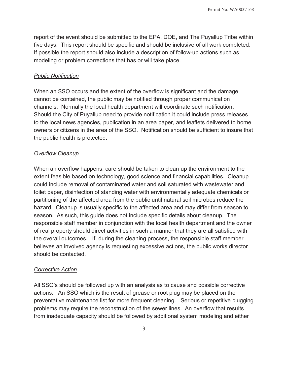report of the event should be submitted to the EPA, DOE, and The Puyallup Tribe within five days. This report should be specific and should be inclusive of all work completed. If possible the report should also include a description of follow-up actions such as modeling or problem corrections that has or will take place.

#### *Public Notification*

When an SSO occurs and the extent of the overflow is significant and the damage cannot be contained, the public may be notified through proper communication channels. Normally the local health department will coordinate such notification. Should the City of Puyallup need to provide notification it could include press releases to the local news agencies, publication in an area paper, and leaflets delivered to home owners or citizens in the area of the SSO. Notification should be sufficient to insure that the public health is protected.

#### *Overflow Cleanup*

When an overflow happens, care should be taken to clean up the environment to the extent feasible based on technology, good science and financial capabilities. Cleanup could include removal of contaminated water and soil saturated with wastewater and toilet paper, disinfection of standing water with environmentally adequate chemicals or partitioning of the affected area from the public until natural soil microbes reduce the hazard. Cleanup is usually specific to the affected area and may differ from season to season. As such, this guide does not include specific details about cleanup. The responsible staff member in conjunction with the local health department and the owner of real property should direct activities in such a manner that they are all satisfied with the overall outcomes. If, during the cleaning process, the responsible staff member believes an involved agency is requesting excessive actions, the public works director should be contacted.

#### *Corrective Action*

All SSO's should be followed up with an analysis as to cause and possible corrective actions. An SSO which is the result of grease or root plug may be placed on the preventative maintenance list for more frequent cleaning. Serious or repetitive plugging problems may require the reconstruction of the sewer lines. An overflow that results from inadequate capacity should be followed by additional system modeling and either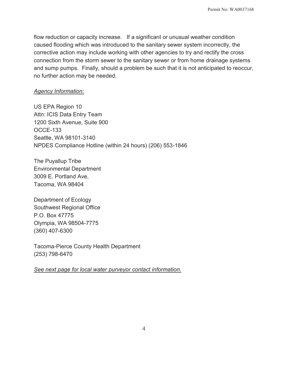flow reduction or capacity increase. If a significant or unusual weather condition caused flooding which was introduced to the sanitary sewer system incorrectly, the corrective action may include working with other agencies to try and rectify the cross connection from the storm sewer to the sanitary sewer or from home drainage systems and sump pumps. Finally, should a problem be such that it is not anticipated to reoccur, no further action may be needed.

#### *Agency Information:*

US EPA Region 10 Attn: ICIS Data Entry Team 1200 Sixth Avenue, Suite 900 OCCE-133 Seattle, WA 98101-3140 NPDES Compliance Hotline (within 24 hours) (206) 553-1846

The Puyallup Tribe Environmental Department 3009 E. Portland Ave, Tacoma, WA 98404

Department of Ecology Southwest Regional Office P.O. Box 47775 Olympia, WA 98504-7775 (360) 407-6300

Tacoma-Pierce County Health Department (253) 798-6470

*See next page for local water purveyor contact information.*